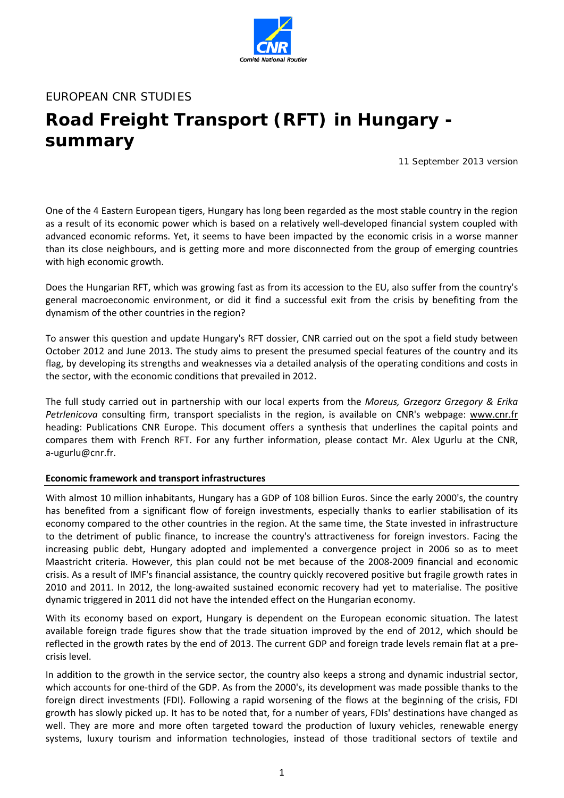

### EUROPEAN CNR STUDIES

# **Road Freight Transport (RFT) in Hungary summary**

11 September 2013 version

One of the 4 Eastern European tigers, Hungary has long been regarded as the most stable country in the region as a result of its economic power which is based on a relatively well‐developed financial system coupled with advanced economic reforms. Yet, it seems to have been impacted by the economic crisis in a worse manner than its close neighbours, and is getting more and more disconnected from the group of emerging countries with high economic growth.

Does the Hungarian RFT, which was growing fast as from its accession to the EU, also suffer from the country's general macroeconomic environment, or did it find a successful exit from the crisis by benefiting from the dynamism of the other countries in the region?

To answer this question and update Hungary's RFT dossier, CNR carried out on the spot a field study between October 2012 and June 2013. The study aims to present the presumed special features of the country and its flag, by developing its strengths and weaknesses via a detailed analysis of the operating conditions and costs in the sector, with the economic conditions that prevailed in 2012.

The full study carried out in partnership with our local experts from the *Moreus, Grzegorz Grzegory & Erika Petrlenicova* consulting firm, transport specialists in the region, is available on CNR's webpage: www.cnr.fr heading: Publications CNR Europe. This document offers a synthesis that underlines the capital points and compares them with French RFT. For any further information, please contact Mr. Alex Ugurlu at the CNR, a‐ugurlu@cnr.fr.

#### **Economic framework and transport infrastructures**

With almost 10 million inhabitants, Hungary has a GDP of 108 billion Euros. Since the early 2000's, the country has benefited from a significant flow of foreign investments, especially thanks to earlier stabilisation of its economy compared to the other countries in the region. At the same time, the State invested in infrastructure to the detriment of public finance, to increase the country's attractiveness for foreign investors. Facing the increasing public debt, Hungary adopted and implemented a convergence project in 2006 so as to meet Maastricht criteria. However, this plan could not be met because of the 2008‐2009 financial and economic crisis. As a result of IMF's financial assistance, the country quickly recovered positive but fragile growth rates in 2010 and 2011. In 2012, the long-awaited sustained economic recovery had yet to materialise. The positive dynamic triggered in 2011 did not have the intended effect on the Hungarian economy.

With its economy based on export, Hungary is dependent on the European economic situation. The latest available foreign trade figures show that the trade situation improved by the end of 2012, which should be reflected in the growth rates by the end of 2013. The current GDP and foreign trade levels remain flat at a pre‐ crisis level.

In addition to the growth in the service sector, the country also keeps a strong and dynamic industrial sector, which accounts for one-third of the GDP. As from the 2000's, its development was made possible thanks to the foreign direct investments (FDI). Following a rapid worsening of the flows at the beginning of the crisis, FDI growth has slowly picked up. It has to be noted that, for a number of years, FDIs' destinations have changed as well. They are more and more often targeted toward the production of luxury vehicles, renewable energy systems, luxury tourism and information technologies, instead of those traditional sectors of textile and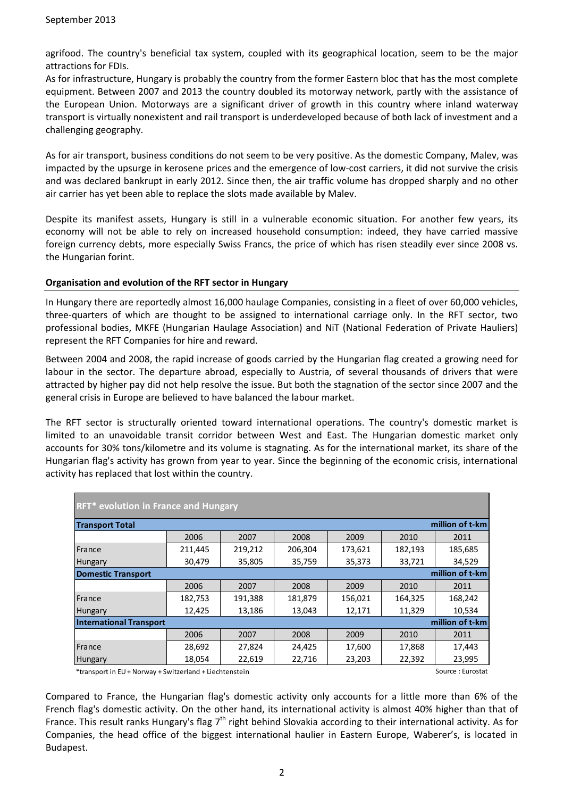agrifood. The country's beneficial tax system, coupled with its geographical location, seem to be the major attractions for FDIs.

As for infrastructure, Hungary is probably the country from the former Eastern bloc that has the most complete equipment. Between 2007 and 2013 the country doubled its motorway network, partly with the assistance of the European Union. Motorways are a significant driver of growth in this country where inland waterway transport is virtually nonexistent and rail transport is underdeveloped because of both lack of investment and a challenging geography.

As for air transport, business conditions do not seem to be very positive. As the domestic Company, Malev, was impacted by the upsurge in kerosene prices and the emergence of low‐cost carriers, it did not survive the crisis and was declared bankrupt in early 2012. Since then, the air traffic volume has dropped sharply and no other air carrier has yet been able to replace the slots made available by Malev.

Despite its manifest assets, Hungary is still in a vulnerable economic situation. For another few years, its economy will not be able to rely on increased household consumption: indeed, they have carried massive foreign currency debts, more especially Swiss Francs, the price of which has risen steadily ever since 2008 vs. the Hungarian forint.

#### **Organisation and evolution of the RFT sector in Hungary**

In Hungary there are reportedly almost 16,000 haulage Companies, consisting in a fleet of over 60,000 vehicles, three‐quarters of which are thought to be assigned to international carriage only. In the RFT sector, two professional bodies, MKFE (Hungarian Haulage Association) and NiT (National Federation of Private Hauliers) represent the RFT Companies for hire and reward.

Between 2004 and 2008, the rapid increase of goods carried by the Hungarian flag created a growing need for labour in the sector. The departure abroad, especially to Austria, of several thousands of drivers that were attracted by higher pay did not help resolve the issue. But both the stagnation of the sector since 2007 and the general crisis in Europe are believed to have balanced the labour market.

The RFT sector is structurally oriented toward international operations. The country's domestic market is limited to an unavoidable transit corridor between West and East. The Hungarian domestic market only accounts for 30% tons/kilometre and its volume is stagnating. As for the international market, its share of the Hungarian flag's activity has grown from year to year. Since the beginning of the economic crisis, international activity has replaced that lost within the country.

| RFT* evolution in France and Hungary              |         |         |         |         |         |         |  |  |  |
|---------------------------------------------------|---------|---------|---------|---------|---------|---------|--|--|--|
| million of t-km<br><b>Transport Total</b>         |         |         |         |         |         |         |  |  |  |
|                                                   | 2006    | 2007    | 2008    | 2009    | 2010    | 2011    |  |  |  |
| France                                            | 211,445 | 219,212 | 206,304 | 173,621 | 182,193 | 185,685 |  |  |  |
| Hungary                                           | 30,479  | 35,805  | 35,759  | 35,373  | 33,721  | 34,529  |  |  |  |
| million of t-km<br>Domestic Transport             |         |         |         |         |         |         |  |  |  |
|                                                   | 2006    | 2007    | 2008    | 2009    | 2010    | 2011    |  |  |  |
| France                                            | 182,753 | 191,388 | 181,879 | 156,021 | 164,325 | 168,242 |  |  |  |
| <b>Hungary</b>                                    | 12,425  | 13,186  | 13,043  | 12,171  | 11,329  | 10,534  |  |  |  |
| million of t-km<br><b>International Transport</b> |         |         |         |         |         |         |  |  |  |
|                                                   | 2006    | 2007    | 2008    | 2009    | 2010    | 2011    |  |  |  |
| France                                            | 28,692  | 27,824  | 24,425  | 17,600  | 17,868  | 17,443  |  |  |  |
| <b>Hungary</b>                                    | 18,054  | 22,619  | 22,716  | 23,203  | 22,392  | 23,995  |  |  |  |

\*transport in EU+ Norway + Switzerland + Liechtenstein Source : Eurostat

Compared to France, the Hungarian flag's domestic activity only accounts for a little more than 6% of the French flag's domestic activity. On the other hand, its international activity is almost 40% higher than that of France. This result ranks Hungary's flag  $7<sup>th</sup>$  right behind Slovakia according to their international activity. As for Companies, the head office of the biggest international haulier in Eastern Europe, Waberer's, is located in Budapest.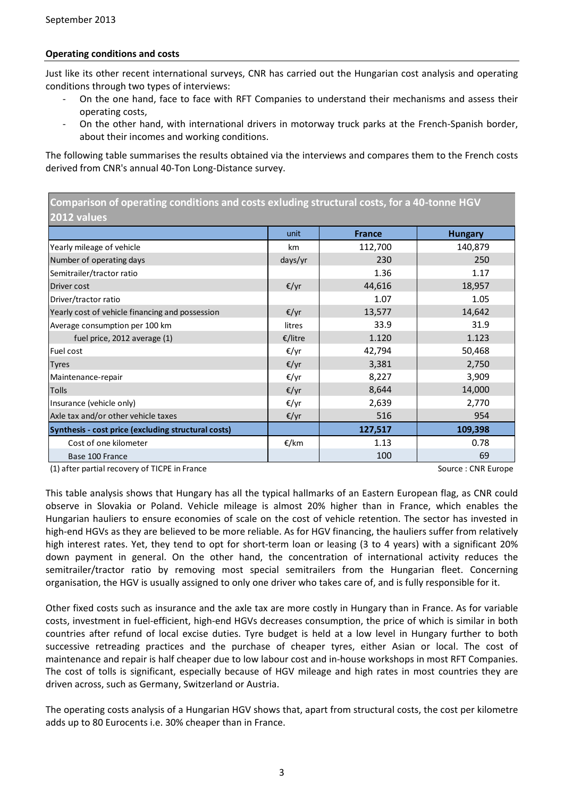#### **Operating conditions and costs**

Just like its other recent international surveys, CNR has carried out the Hungarian cost analysis and operating conditions through two types of interviews:

- ‐ On the one hand, face to face with RFT Companies to understand their mechanisms and assess their operating costs,
- On the other hand, with international drivers in motorway truck parks at the French-Spanish border, about their incomes and working conditions.

The following table summarises the results obtained via the interviews and compares them to the French costs derived from CNR's annual 40‐Ton Long‐Distance survey.

**Comparison of operating conditions and costs exluding structural costs, for a 40‐tonne HGV 2012 values**

|                                                     | unit    | <b>France</b> | <b>Hungary</b> |
|-----------------------------------------------------|---------|---------------|----------------|
| Yearly mileage of vehicle                           | km      | 112,700       | 140,879        |
| Number of operating days                            | days/yr | 230           | 250            |
| Semitrailer/tractor ratio                           |         | 1.36          | 1.17           |
| Driver cost                                         | €/yr    | 44,616        | 18,957         |
| Driver/tractor ratio                                |         | 1.07          | 1.05           |
| Yearly cost of vehicle financing and possession     | €/yr    | 13,577        | 14,642         |
| Average consumption per 100 km                      | litres  | 33.9          | 31.9           |
| fuel price, 2012 average (1)                        | €/litre | 1.120         | 1.123          |
| Fuel cost                                           | €/yr    | 42,794        | 50,468         |
| <b>Tyres</b>                                        | €/yr    | 3,381         | 2,750          |
| Maintenance-repair                                  | €/yr    | 8,227         | 3,909          |
| Tolls                                               | €/yr    | 8,644         | 14,000         |
| Insurance (vehicle only)                            | €/yr    | 2,639         | 2,770          |
| Axle tax and/or other vehicle taxes                 | €/yr    | 516           | 954            |
| Synthesis - cost price (excluding structural costs) |         | 127,517       | 109,398        |
| Cost of one kilometer                               | €/km    | 1.13          | 0.78           |
| Base 100 France                                     |         | 100           | 69             |

(1) after partial recovery of TICPE in France Source : CNR Europe Source : CNR Europe

This table analysis shows that Hungary has all the typical hallmarks of an Eastern European flag, as CNR could observe in Slovakia or Poland. Vehicle mileage is almost 20% higher than in France, which enables the Hungarian hauliers to ensure economies of scale on the cost of vehicle retention. The sector has invested in high-end HGVs as they are believed to be more reliable. As for HGV financing, the hauliers suffer from relatively high interest rates. Yet, they tend to opt for short-term loan or leasing (3 to 4 years) with a significant 20% down payment in general. On the other hand, the concentration of international activity reduces the semitrailer/tractor ratio by removing most special semitrailers from the Hungarian fleet. Concerning organisation, the HGV is usually assigned to only one driver who takes care of, and is fully responsible for it.

Other fixed costs such as insurance and the axle tax are more costly in Hungary than in France. As for variable costs, investment in fuel‐efficient, high‐end HGVs decreases consumption, the price of which is similar in both countries after refund of local excise duties. Tyre budget is held at a low level in Hungary further to both successive retreading practices and the purchase of cheaper tyres, either Asian or local. The cost of maintenance and repair is half cheaper due to low labour cost and in‐house workshops in most RFT Companies. The cost of tolls is significant, especially because of HGV mileage and high rates in most countries they are driven across, such as Germany, Switzerland or Austria.

The operating costs analysis of a Hungarian HGV shows that, apart from structural costs, the cost per kilometre adds up to 80 Eurocents i.e. 30% cheaper than in France.